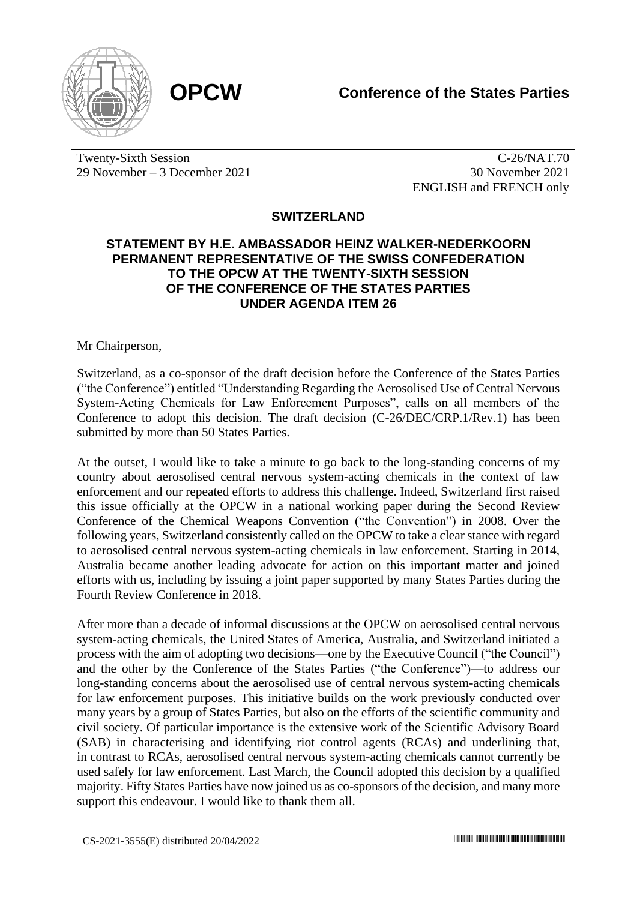

Twenty-Sixth Session 29 November – 3 December 2021

C-26/NAT.70 30 November 2021 ENGLISH and FRENCH only

## **SWITZERLAND**

## **STATEMENT BY H.E. AMBASSADOR HEINZ WALKER-NEDERKOORN PERMANENT REPRESENTATIVE OF THE SWISS CONFEDERATION TO THE OPCW AT THE TWENTY-SIXTH SESSION OF THE CONFERENCE OF THE STATES PARTIES UNDER AGENDA ITEM 26**

Mr Chairperson,

Switzerland, as a co-sponsor of the draft decision before the Conference of the States Parties ("the Conference") entitled "Understanding Regarding the Aerosolised Use of Central Nervous System-Acting Chemicals for Law Enforcement Purposes", calls on all members of the Conference to adopt this decision. The draft decision (C-26/DEC/CRP.1/Rev.1) has been submitted by more than 50 States Parties.

At the outset, I would like to take a minute to go back to the long-standing concerns of my country about aerosolised central nervous system-acting chemicals in the context of law enforcement and our repeated efforts to address this challenge. Indeed, Switzerland first raised this issue officially at the OPCW in a national working paper during the Second Review Conference of the Chemical Weapons Convention ("the Convention") in 2008. Over the following years, Switzerland consistently called on the OPCW to take a clear stance with regard to aerosolised central nervous system-acting chemicals in law enforcement. Starting in 2014, Australia became another leading advocate for action on this important matter and joined efforts with us, including by issuing a joint paper supported by many States Parties during the Fourth Review Conference in 2018.

After more than a decade of informal discussions at the OPCW on aerosolised central nervous system-acting chemicals, the United States of America, Australia, and Switzerland initiated a process with the aim of adopting two decisions—one by the Executive Council ("the Council") and the other by the Conference of the States Parties ("the Conference")—to address our long-standing concerns about the aerosolised use of central nervous system-acting chemicals for law enforcement purposes. This initiative builds on the work previously conducted over many years by a group of States Parties, but also on the efforts of the scientific community and civil society. Of particular importance is the extensive work of the Scientific Advisory Board (SAB) in characterising and identifying riot control agents (RCAs) and underlining that, in contrast to RCAs, aerosolised central nervous system-acting chemicals cannot currently be used safely for law enforcement. Last March, the Council adopted this decision by a qualified majority. Fifty States Parties have now joined us as co-sponsors of the decision, and many more support this endeavour. I would like to thank them all.